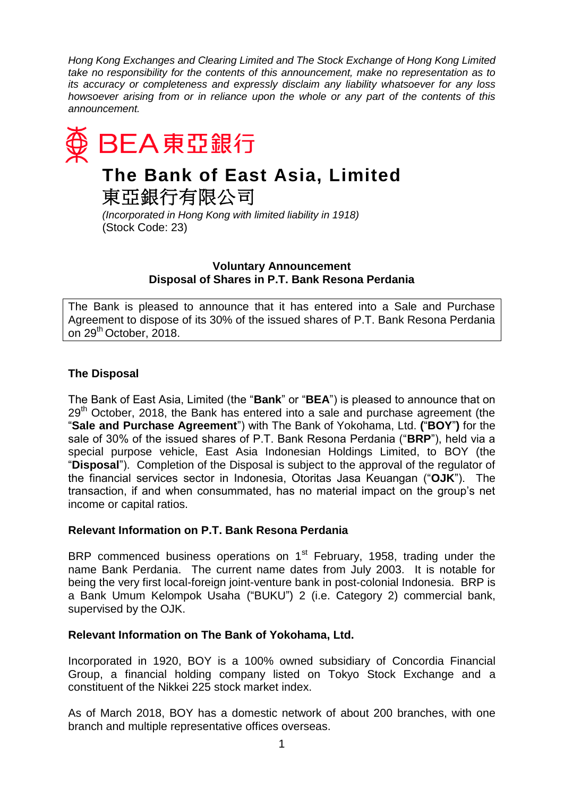*Hong Kong Exchanges and Clearing Limited and The Stock Exchange of Hong Kong Limited take no responsibility for the contents of this announcement, make no representation as to its accuracy or completeness and expressly disclaim any liability whatsoever for any loss howsoever arising from or in reliance upon the whole or any part of the contents of this announcement.* 



*(Incorporated in Hong Kong with limited liability in 1918)* (Stock Code: 23)

### **Voluntary Announcement Disposal of Shares in P.T. Bank Resona Perdania**

The Bank is pleased to announce that it has entered into a Sale and Purchase Agreement to dispose of its 30% of the issued shares of P.T. Bank Resona Perdania on 29<sup>th</sup> October, 2018.

# **The Disposal**

The Bank of East Asia, Limited (the "**Bank**" or "**BEA**") is pleased to announce that on  $29<sup>th</sup>$  October, 2018, the Bank has entered into a sale and purchase agreement (the "**Sale and Purchase Agreement**") with The Bank of Yokohama, Ltd. **(**"**BOY**"**)** for the sale of 30% of the issued shares of P.T. Bank Resona Perdania ("**BRP**"), held via a special purpose vehicle, East Asia Indonesian Holdings Limited, to BOY (the "**Disposal**"). Completion of the Disposal is subject to the approval of the regulator of the financial services sector in Indonesia, Otoritas Jasa Keuangan ("**OJK**"). The transaction, if and when consummated, has no material impact on the group's net income or capital ratios.

## **Relevant Information on P.T. Bank Resona Perdania**

BRP commenced business operations on 1<sup>st</sup> February, 1958, trading under the name Bank Perdania. The current name dates from July 2003. It is notable for being the very first local-foreign joint-venture bank in post-colonial Indonesia. BRP is a Bank Umum Kelompok Usaha ("BUKU") 2 (i.e. Category 2) commercial bank, supervised by the OJK.

## **Relevant Information on The Bank of Yokohama, Ltd.**

Incorporated in 1920, BOY is a 100% owned subsidiary of Concordia Financial Group, a financial holding company listed on Tokyo Stock Exchange and a constituent of the [Nikkei 225](https://en.wikipedia.org/wiki/Nikkei_225) stock market index.

As of March 2018, BOY has a domestic network of about 200 branches, with one branch and multiple representative offices overseas.